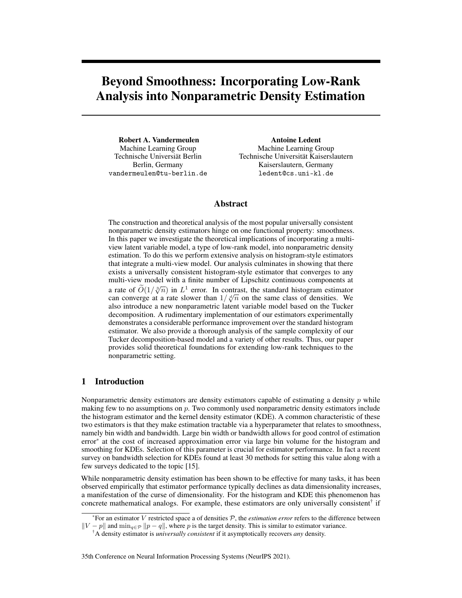# Beyond Smoothness: Incorporating Low-Rank Analysis into Nonparametric Density Estimation

Robert A. Vandermeulen Machine Learning Group Technische Universiät Berlin Berlin, Germany vandermeulen@tu-berlin.de

Antoine Ledent Machine Learning Group Technische Universität Kaiserslautern Kaiserslautern, Germany ledent@cs.uni-kl.de

# Abstract

The construction and theoretical analysis of the most popular universally consistent nonparametric density estimators hinge on one functional property: smoothness. In this paper we investigate the theoretical implications of incorporating a multiview latent variable model, a type of low-rank model, into nonparametric density estimation. To do this we perform extensive analysis on histogram-style estimators that integrate a multi-view model. Our analysis culminates in showing that there exists a universally consistent histogram-style estimator that converges to any multi-view model with a finite number of Lipschitz continuous components at a rate of  $\tilde{O}(1/\sqrt[3]{n})$  in  $L^1$  error. In contrast, the standard histogram estimator are communed to extendent than  $1/\sqrt[4]{n}$  and the came close of densities. We a rate of  $O(1/\sqrt[n]{n})$  in  $L^2$  error. In contrast, the standard mistogram estimator can converge at a rate slower than  $1/\sqrt[n]{n}$  on the same class of densities. We also introduce a new nonparametric latent variable model based on the Tucker decomposition. A rudimentary implementation of our estimators experimentally demonstrates a considerable performance improvement over the standard histogram estimator. We also provide a thorough analysis of the sample complexity of our Tucker decomposition-based model and a variety of other results. Thus, our paper provides solid theoretical foundations for extending low-rank techniques to the nonparametric setting.

# 1 Introduction

Nonparametric density estimators are density estimators capable of estimating a density  $p$  while making few to no assumptions on  $p$ . Two commonly used nonparametric density estimators include the histogram estimator and the kernel density estimator (KDE). A common characteristic of these two estimators is that they make estimation tractable via a hyperparameter that relates to smoothness, namely bin width and bandwidth. Large bin width or bandwidth allows for good control of estimation error\* at the cost of increased approximation error via large bin volume for the histogram and smoothing for KDEs. Selection of this parameter is crucial for estimator performance. In fact a recent survey on bandwidth selection for KDEs found at least 30 methods for setting this value along with a few surveys dedicated to the topic [15].

While nonparametric density estimation has been shown to be effective for many tasks, it has been observed empirically that estimator performance typically declines as data dimensionality increases, a manifestation of the curse of dimensionality. For the histogram and KDE this phenomenon has concrete mathematical analogs. For example, these estimators are only universally consistent<sup>†</sup> if

 $*$ For an estimator V restricted space a of densities  $P$ , the *estimation error* refers to the difference between  $||V - p||$  and  $\min_{q \in \mathcal{P}} ||p - q||$ , where p is the target density. This is similar to estimator variance.

<sup>†</sup>A density estimator is *universally consistent* if it asymptotically recovers *any* density.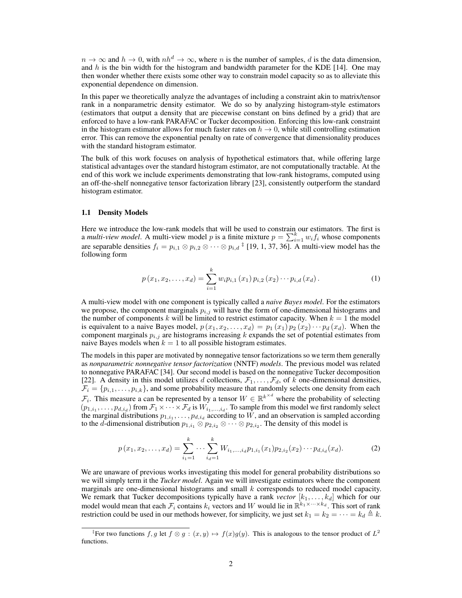$n \to \infty$  and  $h \to 0$ , with  $nh^d \to \infty$ , where n is the number of samples, d is the data dimension, and  $h$  is the bin width for the histogram and bandwidth parameter for the KDE [14]. One may then wonder whether there exists some other way to constrain model capacity so as to alleviate this exponential dependence on dimension.

In this paper we theoretically analyze the advantages of including a constraint akin to matrix/tensor rank in a nonparametric density estimator. We do so by analyzing histogram-style estimators (estimators that output a density that are piecewise constant on bins defined by a grid) that are enforced to have a low-rank PARAFAC or Tucker decomposition. Enforcing this low-rank constraint in the histogram estimator allows for much faster rates on  $h \to 0$ , while still controlling estimation error. This can remove the exponential penalty on rate of convergence that dimensionality produces with the standard histogram estimator.

The bulk of this work focuses on analysis of hypothetical estimators that, while offering large statistical advantages over the standard histogram estimator, are not computationally tractable. At the end of this work we include experiments demonstrating that low-rank histograms, computed using an off-the-shelf nonnegative tensor factorization library [23], consistently outperform the standard histogram estimator.

#### 1.1 Density Models

Here we introduce the low-rank models that will be used to constrain our estimators. The first is a *multi-view model*. A multi-view model p is a finite mixture  $p = \sum_{i=1}^{k} w_i f_i$  whose components are separable densities  $f_i = p_{i,1} \otimes p_{i,2} \otimes \cdots \otimes p_{i,d}$ <sup> $\ddagger$ </sup> [19, 1, 37, 36]. A multi-view model has the following form

$$
p(x_1, x_2, \dots, x_d) = \sum_{i=1}^{k} w_i p_{i,1}(x_1) p_{i,2}(x_2) \cdots p_{i,d}(x_d).
$$
 (1)

A multi-view model with one component is typically called a *naive Bayes model*. For the estimators we propose, the component marginals  $p_{i,j}$  will have the form of one-dimensional histograms and the number of components k will be limited to restrict estimator capacity. When  $k = 1$  the model is equivalent to a naive Bayes model,  $p(x_1, x_2, \ldots, x_d) = p_1(x_1) p_2(x_2) \cdots p_d(x_d)$ . When the component marginals  $p_{i,j}$  are histograms increasing k expands the set of potential estimates from naive Bayes models when  $k = 1$  to all possible histogram estimates.

The models in this paper are motivated by nonnegative tensor factorizations so we term them generally as *nonparametric nonnegative tensor factorization* (NNTF) *models*. The previous model was related to nonnegative PARAFAC [34]. Our second model is based on the nonnegative Tucker decomposition [22]. A density in this model utilizes d collections,  $\mathcal{F}_1, \ldots, \mathcal{F}_d$ , of k one-dimensional densities,  $\mathcal{F}_i = \{p_{i,1}, \ldots, p_{i,k}\}\$ , and some probability measure that randomly selects one density from each  $\mathcal{F}_i$ . This measure a can be represented by a tensor  $W \in \mathbb{R}^{k^{\times d}}$  where the probability of selecting  $(p_{1,i_1},\ldots,p_{d,i_d})$  from  $\mathcal{F}_1\times\cdots\times\mathcal{F}_d$  is  $W_{i_1,\ldots,i_d}$ . To sample from this model we first randomly select the marginal distributions  $p_{1,i_1}, \ldots, p_{d,i_d}$  according to W, and an observation is sampled according to the d-dimensional distribution  $p_{1,i_1} \otimes p_{2,i_2} \otimes \cdots \otimes p_{2,i_2}$ . The density of this model is

$$
p(x_1, x_2, \dots, x_d) = \sum_{i_1=1}^k \dots \sum_{i_d=1}^k W_{i_1, \dots, i_d} p_{1, i_1}(x_1) p_{2, i_2}(x_2) \dots p_{d, i_d}(x_d).
$$
 (2)

We are unaware of previous works investigating this model for general probability distributions so we will simply term it the *Tucker model*. Again we will investigate estimators where the component marginals are one-dimensional histograms and small  $k$  corresponds to reduced model capacity. We remark that Tucker decompositions typically have a rank *vector*  $[k_1, \ldots, k_d]$  which for our model would mean that each  $\mathcal{F}_i$  contains  $k_i$  vectors and W would lie in  $\mathbb{R}^{k_1 \times \dots \times k_d}$ . This sort of rank restriction could be used in our methods however, for simplicity, we just set  $k_1 = k_2 = \cdots = k_d \triangleq k$ .

<sup>&</sup>lt;sup>‡</sup>For two functions f, g let  $f \otimes g : (x, y) \mapsto f(x)g(y)$ . This is analogous to the tensor product of  $L^2$ functions.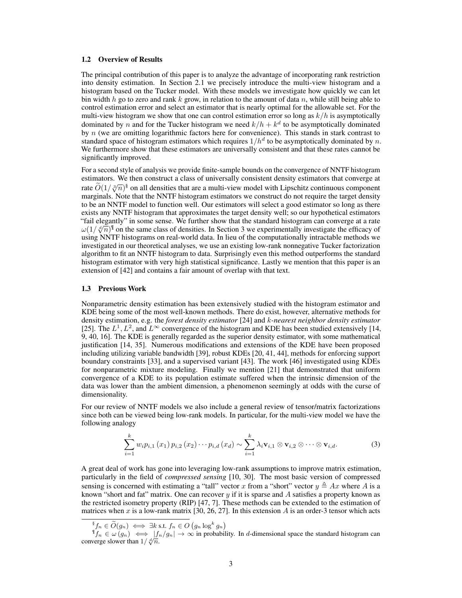#### 1.2 Overview of Results

The principal contribution of this paper is to analyze the advantage of incorporating rank restriction into density estimation. In Section 2.1 we precisely introduce the multi-view histogram and a histogram based on the Tucker model. With these models we investigate how quickly we can let bin width h go to zero and rank k grow, in relation to the amount of data n, while still being able to control estimation error and select an estimator that is nearly optimal for the allowable set. For the multi-view histogram we show that one can control estimation error so long as  $k/h$  is asymptotically dominated by n and for the Tucker histogram we need  $k/h + k^d$  to be asymptotically dominated by  $n$  (we are omitting logarithmic factors here for convenience). This stands in stark contrast to standard space of histogram estimators which requires  $1/h^d$  to be asymptotically dominated by n. We furthermore show that these estimators are universally consistent and that these rates cannot be significantly improved.

For a second style of analysis we provide finite-sample bounds on the convergence of NNTF histogram estimators. We then construct a class of universally consistent density estimators that converge at rate  $\tilde{O}(1/\sqrt[3]{n})^{\$}$  on all densities that are a multi-view model with Lipschitz continuous component at  $\tilde{O}(1/\sqrt[3]{n})^{\$}$ marginals. Note that the NNTF histogram estimators we construct do not require the target density to be an NNTF model to function well. Our estimators will select a good estimator so long as there exists any NNTF histogram that approximates the target density well; so our hypothetical estimators "fail elegantly" in some sense. We further show that the standard histogram can converge at a rate Tail elegantly The same sense. We further show that the standard histogram can converge at a rate  $\omega(1/\sqrt[d]{n})^{\mathbb{I}}$  on the same class of densities. In Section 3 we experimentally investigate the efficacy of using NNTF histograms on real-world data. In lieu of the computationally intractable methods we investigated in our theoretical analyses, we use an existing low-rank nonnegative Tucker factorization algorithm to fit an NNTF histogram to data. Surprisingly even this method outperforms the standard histogram estimator with very high statistical significance. Lastly we mention that this paper is an extension of [42] and contains a fair amount of overlap with that text.

#### 1.3 Previous Work

Nonparametric density estimation has been extensively studied with the histogram estimator and KDE being some of the most well-known methods. There do exist, however, alternative methods for density estimation, e.g. the *forest density estimator* [24] and k*-nearest neighbor density estimator* [25]. The  $L^1, L^2$ , and  $L^\infty$  convergence of the histogram and KDE has been studied extensively [14, 9, 40, 16]. The KDE is generally regarded as the superior density estimator, with some mathematical justification [14, 35]. Numerous modifications and extensions of the KDE have been proposed including utilizing variable bandwidth [39], robust KDEs [20, 41, 44], methods for enforcing support boundary constraints [33], and a supervised variant [43]. The work [46] investigated using KDEs for nonparametric mixture modeling. Finally we mention [21] that demonstrated that uniform convergence of a KDE to its population estimate suffered when the intrinsic dimension of the data was lower than the ambient dimension, a phenomenon seemingly at odds with the curse of dimensionality.

For our review of NNTF models we also include a general review of tensor/matrix factorizations since both can be viewed being low-rank models. In particular, for the multi-view model we have the following analogy

$$
\sum_{i=1}^{k} w_i p_{i,1}(x_1) p_{i,2}(x_2) \cdots p_{i,d}(x_d) \sim \sum_{i=1}^{k} \lambda_i \mathbf{v}_{i,1} \otimes \mathbf{v}_{i,2} \otimes \cdots \otimes \mathbf{v}_{i,d}.
$$
 (3)

A great deal of work has gone into leveraging low-rank assumptions to improve matrix estimation, particularly in the field of *compressed sensing* [10, 30]. The most basic version of compressed sensing is concerned with estimating a "tall" vector x from a "short" vector  $y \triangleq Ax$  where A is a known "short and fat" matrix. One can recover  $y$  if it is sparse and  $A$  satisfies a property known as the restricted isometry property (RIP) [47, 7]. These methods can be extended to the estimation of matrices when  $x$  is a low-rank matrix [30, 26, 27]. In this extension  $A$  is an order-3 tensor which acts

 ${}^{\$}f_n \in \tilde{O}(g_n) \iff \exists k \text{ s.t. } f_n \in O(g_n \log^k g_n)$ <br> ${}^{\$}f_n \in \omega(g_n) \iff |f_n/g_n| \to \infty$  in probability. In *d*-dimensional space the standard histogram can  $\gamma_n \in \omega(g_n) \iff |J_n|$ <br>converge slower than  $1/\sqrt[d]{n}$ .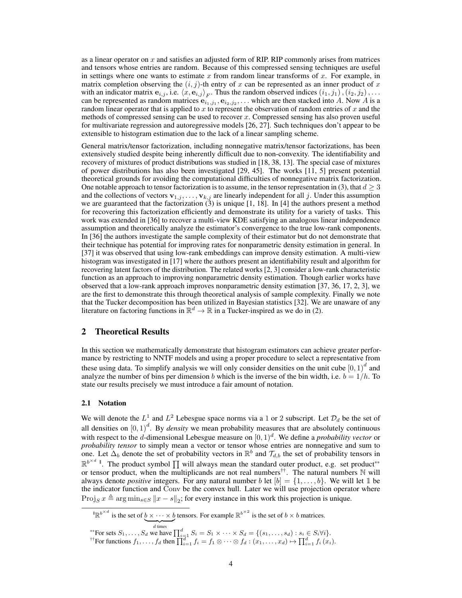as a linear operator on x and satisfies an adjusted form of RIP. RIP commonly arises from matrices and tensors whose entries are random. Because of this compressed sensing techniques are useful in settings where one wants to estimate x from random linear transforms of x. For example, in matrix completion observing the  $(i, j)$ -th entry of x can be represented as an inner product of x with an indicator matrix  ${\bf e}_{i,j}$ , i.e.  $\langle x, {\bf e}_{i,j} \rangle_F$ . Thus the random observed indices  $(i_1, j_1), (i_2, j_2), \ldots$ can be represented as random matrices  $e_{i_1,j_1}, e_{i_2,j_2}, \ldots$  which are then stacked into A. Now A is a random linear operator that is applied to x to represent the observation of random entries of x and the methods of compressed sensing can be used to recover  $x$ . Compressed sensing has also proven useful for multivariate regression and autoregressive models [26, 27]. Such techniques don't appear to be extensible to histogram estimation due to the lack of a linear sampling scheme.

General matrix/tensor factorization, including nonnegative matrix/tensor factorizations, has been extensively studied despite being inherently difficult due to non-convexity. The identifiability and recovery of mixtures of product distributions was studied in [18, 38, 13]. The special case of mixtures of power distributions has also been investigated [29, 45]. The works [11, 5] present potential theoretical grounds for avoiding the computational difficulties of nonnegative matrix factorization. One notable approach to tensor factorization is to assume, in the tensor representation in (3), that  $d \geq 3$ and the collections of vectors  ${\bf v}_{1,j}, \ldots, {\bf v}_{k,j}$  are linearly independent for all j. Under this assumption we are guaranteed that the factorization  $(3)$  is unique [1, 18]. In [4] the authors present a method for recovering this factorization efficiently and demonstrate its utility for a variety of tasks. This work was extended in [36] to recover a multi-view KDE satisfying an analogous linear independence assumption and theoretically analyze the estimator's convergence to the true low-rank components. In [36] the authors investigate the sample complexity of their estimator but do not demonstrate that their technique has potential for improving rates for nonparametric density estimation in general. In [37] it was observed that using low-rank embeddings can improve density estimation. A multi-view histogram was investigated in [17] where the authors present an identifiability result and algorithm for recovering latent factors of the distribution. The related works [2, 3] consider a low-rank characteristic function as an approach to improving nonparametric density estimation. Though earlier works have observed that a low-rank approach improves nonparametric density estimation [37, 36, 17, 2, 3], we are the first to demonstrate this through theoretical analysis of sample complexity. Finally we note that the Tucker decomposition has been utilized in Bayesian statistics [32]. We are unaware of any literature on factoring functions in  $\mathbb{R}^d \to \mathbb{R}$  in a Tucker-inspired as we do in (2).

# 2 Theoretical Results

In this section we mathematically demonstrate that histogram estimators can achieve greater performance by restricting to NNTF models and using a proper procedure to select a representative from these using data. To simplify analysis we will only consider densities on the unit cube  $[0,1)^d$  and analyze the number of bins per dimension b which is the inverse of the bin width, i.e.  $b = 1/h$ . To state our results precisely we must introduce a fair amount of notation.

# 2.1 Notation

We will denote the  $L^1$  and  $L^2$  Lebesgue space norms via a 1 or 2 subscript. Let  $\mathcal{D}_d$  be the set of all densities on  $[0, 1)^d$ . By *density* we mean probability measures that are absolutely continuous with respect to the *d*-dimensional Lebesgue measure on  $[0, 1)^d$ . We define a *probability vector* or *probability tensor* to simply mean a vector or tensor whose entries are nonnegative and sum to one. Let  $\Delta_b$  denote the set of probability vectors in  $\mathbb{R}^b$  and  $\mathcal{T}_{d,b}$  the set of probability tensors in  $\mathbb{R}^{b^{\times d}}$  ". The product symbol  $\prod$  will always mean the standard outer product, e.g. set product\*\* or tensor product, when the multiplicands are not real numbers<sup>††</sup>. The natural numbers  $\mathbb N$  will always denote *positive* integers. For any natural number b let  $[b] = \{1, \ldots, b\}$ . We will let 1 be the indicator function and Conv be the convex hull. Later we will use projection operator where Proj<sub>S</sub>  $x \triangleq \arg \min_{s \in S} ||x - s||_2$ ; for every instance in this work this projection is unique.

 $\mathbb{R}^{b^{\times d}}$  is the set of  $b \times \cdots \times b$  $d$  times tensors. For example  $\mathbb{R}^{b^{\times 2}}$  is the set of  $b \times b$  matrices.

<sup>\*\*</sup> For sets  $S_1, \ldots, S_d$  we have  $\prod_{i=1}^d S_i = S_1 \times \cdots \times S_d = \{(s_1, \ldots, s_d) : s_i \in S_i \forall i\}.$ 

<sup>&</sup>lt;sup>††</sup>For functions  $f_1, \ldots, f_d$  then  $\prod_{i=1}^d f_i = f_1 \otimes \cdots \otimes f_d : (x_1, \ldots, x_d) \mapsto \prod_{i=1}^d f_i(x_i)$ .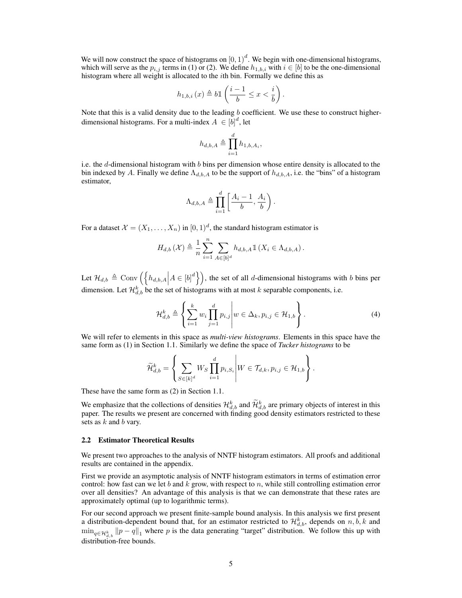We will now construct the space of histograms on  $[0, 1)^d$ . We begin with one-dimensional histograms, which will serve as the  $p_{i,j}$  terms in (1) or (2). We define  $h_{1,b,i}$  with  $i \in [b]$  to be the one-dimensional histogram where all weight is allocated to the ith bin. Formally we define this as

$$
h_{1,b,i}\left(x\right)\triangleq b\mathbbm{1}\left(\frac{i-1}{b}\leq x<\frac{i}{b}\right).
$$

Note that this is a valid density due to the leading b coefficient. We use these to construct higherdimensional histograms. For a multi-index  $A \in [b]^d$ , let

$$
h_{d,b,A}\triangleq \prod_{i=1}^d h_{1,b,A_i},
$$

i.e. the d-dimensional histogram with b bins per dimension whose entire density is allocated to the bin indexed by A. Finally we define  $\Lambda_{d,b,A}$  to be the support of  $h_{d,b,A}$ , i.e. the "bins" of a histogram estimator,

$$
\Lambda_{d,b,A} \triangleq \prod_{i=1}^d \left[ \frac{A_i - 1}{b}, \frac{A_i}{b} \right).
$$

For a dataset  $\mathcal{X} = (X_1, \ldots, X_n)$  in  $[0, 1)^d$ , the standard histogram estimator is

$$
H_{d,b}\left(\mathcal{X}\right) \triangleq \frac{1}{n} \sum_{i=1}^{n} \sum_{A \in [b]^d} h_{d,b,A} \mathbb{1}\left(X_i \in \Lambda_{d,b,A}\right).
$$

Let  $\mathcal{H}_{d,b} \triangleq \text{Conv}\left(\left\{h_{d,b,A} \middle| A \in [b]^d\right\}\right)$ , the set of all d-dimensional histograms with b bins per dimension. Let  $\mathcal{H}_{d,b}^k$  be the set of histograms with at most k separable components, i.e.

$$
\mathcal{H}_{d,b}^k \triangleq \left\{ \sum_{i=1}^k w_i \prod_{j=1}^d p_{i,j} \middle| w \in \Delta_k, p_{i,j} \in \mathcal{H}_{1,b} \right\}.
$$
 (4)

We will refer to elements in this space as *multi-view histograms*. Elements in this space have the same form as (1) in Section 1.1. Similarly we define the space of *Tucker histograms* to be

$$
\widetilde{\mathcal{H}}_{d,b}^k = \left\{ \sum_{S \in [k]^d} W_S \prod_{i=1}^d p_{i,S_i} \middle| W \in \mathcal{T}_{d,k}, p_{i,j} \in \mathcal{H}_{1,b} \right\}.
$$

These have the same form as (2) in Section 1.1.

We emphasize that the collections of densities  $\mathcal{H}_{d,b}^k$  and  $\widetilde{\mathcal{H}}_{d,b}^k$  are primary objects of interest in this paper. The results we present are concerned with finding good density estimators restricted to these sets as  $k$  and  $b$  vary.

#### 2.2 Estimator Theoretical Results

We present two approaches to the analysis of NNTF histogram estimators. All proofs and additional results are contained in the appendix.

First we provide an asymptotic analysis of NNTF histogram estimators in terms of estimation error control: how fast can we let b and k grow, with respect to n, while still controlling estimation error over all densities? An advantage of this analysis is that we can demonstrate that these rates are approximately optimal (up to logarithmic terms).

For our second approach we present finite-sample bound analysis. In this analysis we first present a distribution-dependent bound that, for an estimator restricted to  $\mathcal{H}_{d,b}^k$ , depends on  $n, \dot{b}, k$  and  $\min_{q \in \mathcal{H}_{d,b}^k} ||p - q||_1$  where p is the data generating "target" distribution. We follow this up with distribution-free bounds.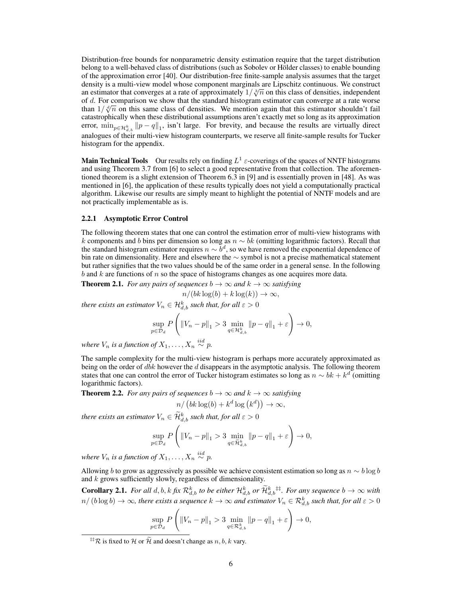Distribution-free bounds for nonparametric density estimation require that the target distribution belong to a well-behaved class of distributions (such as Sobolev or Hölder classes) to enable bounding of the approximation error [40]. Our distribution-free finite-sample analysis assumes that the target density is a multi-view model whose component marginals are Lipschitz continuous. We construct density is a multi-view model whose component marginals are Lipschitz continuous. We construct<br>an estimator that converges at a rate of approximately  $1/\sqrt[3]{n}$  on this class of densities, independent of d. For comparison we show that the standard histogram estimator can converge at a rate worse or *a*. For comparison we show that the standard histogram estimator can converge at a rate worse<br>than  $1/\sqrt[n]{n}$  on this same class of densities. We mention again that this estimator shouldn't fail catastrophically when these distributional assumptions aren't exactly met so long as its approximation error,  $\min_{p \in \mathcal{H}_{d,b}^k} ||p - q||_1$ , isn't large. For brevity, and because the results are virtually direct analogues of their multi-view histogram counterparts, we reserve all finite-sample results for Tucker histogram for the appendix.

**Main Technical Tools** Our results rely on finding  $L^1$   $\varepsilon$ -coverings of the spaces of NNTF histograms and using Theorem 3.7 from [6] to select a good representative from that collection. The aforementioned theorem is a slight extension of Theorem 6.3 in [9] and is essentially proven in [48]. As was mentioned in [6], the application of these results typically does not yield a computationally practical algorithm. Likewise our results are simply meant to highlight the potential of NNTF models and are not practically implementable as is.

#### 2.2.1 Asymptotic Error Control

The following theorem states that one can control the estimation error of multi-view histograms with k components and b bins per dimension so long as  $n \sim bk$  (omitting logarithmic factors). Recall that the standard histogram estimator requires  $n \sim b^d$ , so we have removed the exponential dependence of bin rate on dimensionality. Here and elsewhere the ∼ symbol is not a precise mathematical statement but rather signifies that the two values should be of the same order in a general sense. In the following  $b$  and  $k$  are functions of  $n$  so the space of histograms changes as one acquires more data.

**Theorem 2.1.** *For any pairs of sequences*  $b \to \infty$  *and*  $k \to \infty$  *satisfying* 

$$
n/(bk\log(b) + k\log(k)) \to \infty,
$$

*there exists an estimator*  $V_n \in \mathcal{H}^k_{d,b}$  *such that, for all*  $\varepsilon > 0$ 

$$
\sup_{p\in\mathcal{D}_d} P\left( \|V_n - p\|_1 > 3 \min_{q\in\mathcal{H}_{d,b}^k} \|p - q\|_1 + \varepsilon \right) \to 0,
$$

where  $V_n$  is a function of  $X_1, \ldots, X_n \stackrel{iid}{\sim} p$ .

The sample complexity for the multi-view histogram is perhaps more accurately approximated as being on the order of  $dbk$  however the  $d$  disappears in the asymptotic analysis. The following theorem states that one can control the error of Tucker histogram estimates so long as  $n \sim bk + k^d$  (omitting logarithmic factors).

**Theorem 2.2.** *For any pairs of sequences*  $b \rightarrow \infty$  *and*  $k \rightarrow \infty$  *satisfying* 

$$
n/\left(bk\log(b) + k^d\log\left(k^d\right)\right) \to \infty,
$$

*there exists an estimator*  $V_n \in \widetilde{\mathcal{H}}_{d,b}^k$  *such that, for all*  $\varepsilon > 0$ 

$$
\sup_{p \in \mathcal{D}_d} P\left( \|V_n - p\|_1 > 3 \min_{q \in \widetilde{\mathcal{H}}_{d,b}^k} \|p - q\|_1 + \varepsilon \right) \to 0,
$$

where  $V_n$  is a function of  $X_1, \ldots, X_n \stackrel{iid}{\sim} p$ .

Allowing b to grow as aggressively as possible we achieve consistent estimation so long as  $n \sim b \log b$ and  $k$  grows sufficiently slowly, regardless of dimensionality.

**Corollary 2.1.** For all  $d, b, k$  *fix*  $\mathcal{R}_{d,b}^k$  *to be either*  $\mathcal{H}_{d,b}^k$  *or*  $\widetilde{\mathcal{H}}_{d,b}^k$ <sup> $\ddagger\ddagger$ </sup>*. For any sequence*  $b \to \infty$  *with*  $n/$   $(b\log b)\to\infty$ , there exists a sequence  $k\to\infty$  and estimator  $V_n\in\mathcal{R}^k_{d,b}$  such that, for all  $\varepsilon>0$ 

$$
\sup_{p \in \mathcal{D}_d} P\left( \|V_n - p\|_1 > 3 \min_{q \in \mathcal{R}_{d,b}^k} \|p - q\|_1 + \varepsilon \right) \to 0,
$$

<sup>&</sup>lt;sup>‡‡</sup>R is fixed to H or  $\widetilde{\mathcal{H}}$  and doesn't change as  $n, b, k$  vary.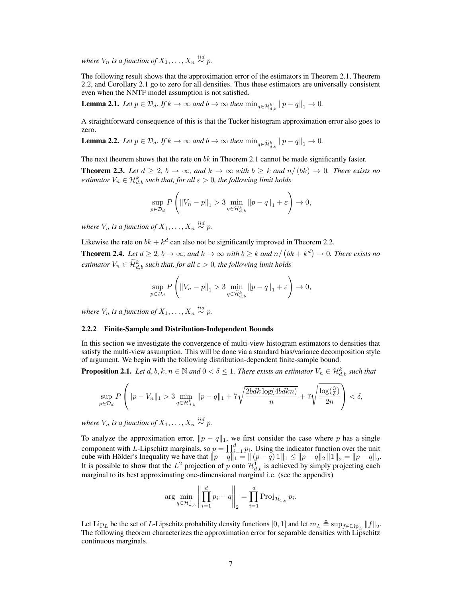where  $V_n$  is a function of  $X_1, \ldots, X_n \stackrel{iid}{\sim} p$ .

The following result shows that the approximation error of the estimators in Theorem 2.1, Theorem 2.2, and Corollary 2.1 go to zero for all densities. Thus these estimators are universally consistent even when the NNTF model assumption is not satisfied.

**Lemma 2.1.** *Let*  $p \in \mathcal{D}_d$ *. If*  $k \to \infty$  *and*  $b \to \infty$  *then*  $\min_{q \in \mathcal{H}_{d,b}^k} ||p - q||_1 \to 0$ *.* 

A straightforward consequence of this is that the Tucker histogram approximation error also goes to zero.

**Lemma 2.2.** Let  $p \in \mathcal{D}_d$ . If  $k \to \infty$  and  $b \to \infty$  then  $\min_{q \in \widetilde{\mathcal{H}}_{d,b}^k} ||p - q||_1 \to 0$ .

The next theorem shows that the rate on  $bk$  in Theorem 2.1 cannot be made significantly faster.

**Theorem 2.3.** Let  $d \geq 2$ ,  $b \to \infty$ , and  $k \to \infty$  with  $b \geq k$  and  $n/(bk) \to 0$ . There exists no  $estimator$   $V_n \in \mathcal{H}_{d,b}^k$  *such that, for all*  $\varepsilon > 0$ *, the following limit holds* 

$$
\sup_{p \in \mathcal{D}_d} P\left( \left\|V_n - p\right\|_1 > 3 \min_{q \in \mathcal{H}_{d,b}^k} \left\|p - q\right\|_1 + \varepsilon \right) \to 0,
$$

where  $V_n$  is a function of  $X_1, \ldots, X_n \stackrel{iid}{\sim} p$ .

Likewise the rate on  $bk + k^d$  can also not be significantly improved in Theorem 2.2.

**Theorem 2.4.** Let  $d \geq 2$ ,  $b \to \infty$ , and  $k \to \infty$  with  $b \geq k$  and  $n/(bk + k^d) \to 0$ . There exists no  $e$ stimator  $V_n \in \widetilde{\mathcal{H}}_{d,b}^k$  such that, for all  $\varepsilon > 0$ , the following limit holds

$$
\sup_{p \in \mathcal{D}_d} P\left( \|V_n - p\|_1 > 3 \min_{q \in \tilde{\mathcal{H}}_{d,b}^k} \|p - q\|_1 + \varepsilon \right) \to 0,
$$

where  $V_n$  is a function of  $X_1, \ldots, X_n \stackrel{iid}{\sim} p$ .

#### 2.2.2 Finite-Sample and Distribution-Independent Bounds

In this section we investigate the convergence of multi-view histogram estimators to densities that satisfy the multi-view assumption. This will be done via a standard bias/variance decomposition style of argument. We begin with the following distribution-dependent finite-sample bound.

**Proposition 2.1.** Let  $d, b, k, n \in \mathbb{N}$  and  $0 < \delta \leq 1$ . There exists an estimator  $V_n \in \mathcal{H}_{d,b}^k$  such that

$$
\sup_{p\in\mathcal{D}_d}P\left(\|p-V_n\|_1>3\min_{q\in\mathcal{H}_{d,b}^k}\|p-q\|_1+\displaystyle 7\sqrt{\frac{2bdk\log(4bdkn)}{n}}+7\sqrt{\frac{\log(\frac{3}{\delta})}{2n}}\right)<\delta,
$$

where  $V_n$  is a function of  $X_1, \ldots, X_n \stackrel{iid}{\sim} p$ .

To analyze the approximation error,  $\|p - q\|_1$ , we first consider the case where p has a single component with L-Lipschitz marginals, so  $p = \prod_{i=1}^{d} p_i$ . Using the indicator function over the unit cube with Hölder's Inequality we have that  $||p - q||_1 = ||(p - q) 1||_1 \le ||p - q||_2 ||1||_2 = ||p - q||_2$ . It is possible to show that the  $L^2$  projection of p onto  $\mathcal{H}_{d,b}^1$  is achieved by simply projecting each marginal to its best approximating one-dimensional marginal i.e. (see the appendix)

$$
\arg \min_{q \in \mathcal{H}_{d,b}^1} \left\| \prod_{i=1}^d p_i - q \right\|_2 = \prod_{i=1}^d \text{Proj}_{\mathcal{H}_{1,b}} p_i.
$$

Let Lip<sub>L</sub> be the set of L-Lipschitz probability density functions [0, 1] and let  $m_L \triangleq \sup_{f \in \text{Lip}_L} ||f||_2$ . The following theorem characterizes the approximation error for separable densities with Lipschitz continuous marginals.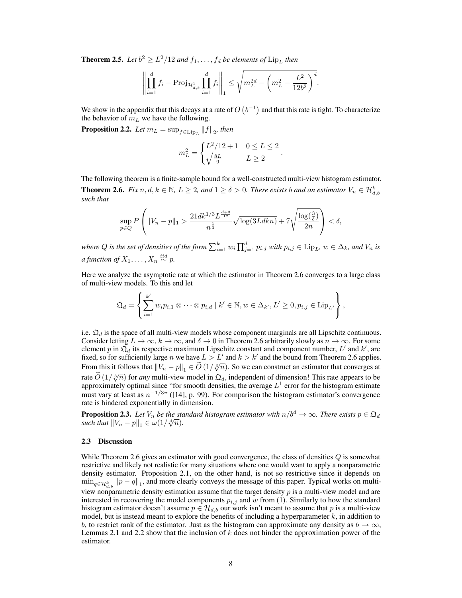**Theorem 2.5.** Let  $b^2 \ge L^2/12$  and  $f_1, \ldots, f_d$  be elements of  $\text{Lip}_L$  then

$$
\left\| \prod_{i=1}^d f_i - \text{Proj}_{\mathcal{H}_{d,b}^1} \prod_{i=1}^d f_i \right\|_1 \le \sqrt{m_L^{2d} - \left(m_L^2 - \frac{L^2}{12b^2}\right)^d}.
$$

We show in the appendix that this decays at a rate of  $O(b^{-1})$  and that this rate is tight. To characterize the behavior of  $m<sub>L</sub>$  we have the following.

**Proposition 2.2.** Let  $m_L = \sup_{f \in \text{Lip}_L} ||f||_2$ , then

$$
m_L^2 = \begin{cases} L^2/12 + 1 & 0 \le L \le 2\\ \sqrt{\frac{8L}{9}} & L \ge 2 \end{cases}
$$

.

The following theorem is a finite-sample bound for a well-constructed multi-view histogram estimator. **Theorem 2.6.** *Fix*  $n, d, k \in \mathbb{N}$ ,  $L \geq 2$ , and  $1 \geq \delta > 0$ . There exists b and an estimator  $V_n \in \mathcal{H}_{d,b}^k$ *such that*

$$
\sup_{p\in Q} P\left(\|V_n - p\|_1 > \frac{21dk^{1/3}L^{\frac{d+3}{12}}}{n^{\frac{1}{3}}}\sqrt{\log(3Ldkn)} + 7\sqrt{\frac{\log(\frac{3}{\delta})}{2n}}\right) < \delta,
$$

where  $Q$  is the set of densities of the form  $\sum_{i=1}^k w_i \prod_{j=1}^d p_{i,j}$  with  $p_{i,j} \in \text{Lip}_L$ ,  $w \in \Delta_k$ , and  $V_n$  is  $a$  function of  $X_1, \ldots, X_n \overset{iid}{\sim} p$ .

Here we analyze the asymptotic rate at which the estimator in Theorem 2.6 converges to a large class of multi-view models. To this end let

$$
\mathfrak{Q}_d = \left\{ \sum_{i=1}^{k'} w_i p_{i,1} \otimes \cdots \otimes p_{i,d} \mid k' \in \mathbb{N}, w \in \Delta_{k'}, L' \geq 0, p_{i,j} \in \mathrm{Lip}_{L'} \right\},\
$$

i.e.  $\mathfrak{Q}_d$  is the space of all multi-view models whose component marginals are all Lipschitz continuous. Consider letting  $L \to \infty$ ,  $k \to \infty$ , and  $\delta \to 0$  in Theorem 2.6 arbitrarily slowly as  $n \to \infty$ . For some element p in  $\mathfrak{Q}_d$  its respective maximum Lipschitz constant and component number, L' and k', are fixed, so for sufficiently large n we have  $L > L'$  and  $k > k'$  and the bound from Theorem 2.6 applies. From this it follows that  $||V_n - p||_1 \in \widetilde{O}(1/\sqrt[3]{n})$ . So we can construct an estimator that converges at rate  $\tilde{O}(1/\sqrt[3]{n})$  for *any* multi-view model in  $\Omega_d$ , independent of dimension! This rate appears to be approximately optimal since "for smooth densities, the average  $L^1$  error for the histogram estimate must vary at least as  $n^{-1/3}$  ([14], p. 99). For comparison the histogram estimator's convergence rate is hindered exponentially in dimension.

**Proposition 2.3.** *Let*  $V_n$  *be the standard histogram estimator with*  $n/b^d \to \infty$ *. There exists*  $p \in \mathfrak{Q}_d$ **Proposition 2.3.** Let  $V_n$  be the state such that  $||V_n - p||_1 \in \omega(1/\sqrt[d]{n})$ .

#### 2.3 Discussion

While Theorem 2.6 gives an estimator with good convergence, the class of densities  $Q$  is somewhat restrictive and likely not realistic for many situations where one would want to apply a nonparametric density estimator. Proposition 2.1, on the other hand, is not so restrictive since it depends on  $\min_{q \in \mathcal{H}_{d,b}^k} ||p - q||_1$ , and more clearly conveys the message of this paper. Typical works on multiview nonparametric density estimation assume that the target density  $p$  is a multi-view model and are interested in recovering the model components  $p_{i,j}$  and w from (1). Similarly to how the standard histogram estimator doesn't assume  $p \in \mathcal{H}_{d,b}$  our work isn't meant to assume that p is a multi-view model, but is instead meant to explore the benefits of including a hyperparameter  $k$ , in addition to b, to restrict rank of the estimator. Just as the histogram can approximate any density as  $b \to \infty$ , Lemmas 2.1 and 2.2 show that the inclusion of  $k$  does not hinder the approximation power of the estimator.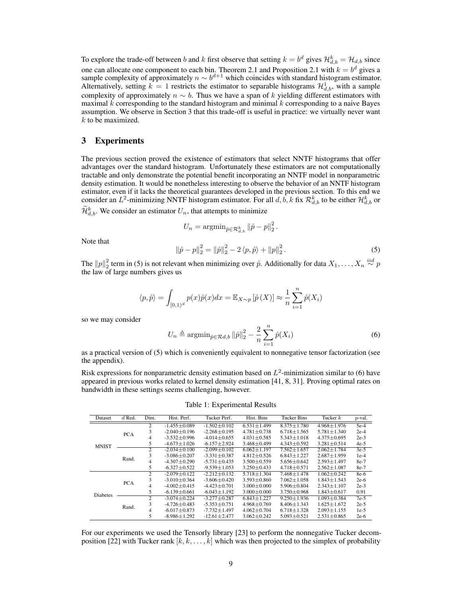To explore the trade-off between b and k first observe that setting  $k = b^d$  gives  $\mathcal{H}_{d,b}^k = \mathcal{H}_{d,b}$  since one can allocate one component to each bin. Theorem 2.1 and Proposition 2.1 with  $k = b^d$  gives a sample complexity of approximately  $n \sim b^{d+1}$  which coincides with standard histogram estimator. Alternatively, setting  $k = 1$  restricts the estimator to separable histograms  $\mathcal{H}_{d,b}^1$ , with a sample complexity of approximately  $n \sim b$ . Thus we have a span of k yielding different estimators with maximal  $k$  corresponding to the standard histogram and minimal  $k$  corresponding to a naive Bayes assumption. We observe in Section 3 that this trade-off is useful in practice: we virtually never want  $k$  to be maximized.

# 3 Experiments

The previous section proved the existence of estimators that select NNTF histograms that offer advantages over the standard histogram. Unfortunately these estimators are not computationally tractable and only demonstrate the potential benefit incorporating an NNTF model in nonparametric density estimation. It would be nonetheless interesting to observe the behavior of an NNTF histogram estimator, even if it lacks the theoretical guarantees developed in the previous section. To this end we consider an  $L^2$ -minimizing NNTF histogram estimator. For all  $d, \bar{b}, k$  fix  $\mathcal{R}^k_{d,b}$  to be either  $\mathcal{H}^k_{d,b}$  or

 $\widetilde{\mathcal{H}}_{d,b}^k$ . We consider an estimator  $U_n$ , that attempts to minimize

$$
U_n = \operatorname{argmin}_{\hat{p} \in \mathcal{R}_{d,b}^k} ||\hat{p} - p||_2^2.
$$

Note that

$$
\|\hat{p} - p\|_2^2 = \|\hat{p}\|_2^2 - 2 \langle p, \hat{p} \rangle + \|p\|_2^2. \tag{5}
$$

The  $||p||_2^2$  term in (5) is not relevant when minimizing over  $\hat{p}$ . Additionally for data  $X_1, \ldots, X_n \stackrel{iid}{\sim} p$ the law of large numbers gives us

$$
\langle p, \hat{p} \rangle = \int_{[0,1)^d} p(x) \hat{p}(x) dx = \mathbb{E}_{X \sim p} \left[ \hat{p}(X) \right] \approx \frac{1}{n} \sum_{i=1}^n \hat{p}(X_i)
$$

so we may consider

$$
U_n \triangleq \operatorname{argmin}_{\hat{p} \in \mathcal{R}d, b} \|\hat{p}\|_2^2 - \frac{2}{n} \sum_{i=1}^n \hat{p}(X_i)
$$
 (6)

as a practical version of (5) which is conveniently equivalent to nonnegative tensor factorization (see the appendix).

Risk expressions for nonparametric density estimation based on  $L^2$ -minimization similar to (6) have appeared in previous works related to kernel density estimation [41, 8, 31]. Proving optimal rates on bandwidth in these settings seems challenging, however.

Table 1: Experimental Results

| Dataset         | $d$ Red.   | Dim. | Hist. Perf.        | Tucker Perf.       | Hist. Bins        | <b>Tucker Bins</b> | Tucker $k$        | $p$ -val. |
|-----------------|------------|------|--------------------|--------------------|-------------------|--------------------|-------------------|-----------|
|                 |            |      |                    |                    |                   |                    |                   |           |
| <b>MNIST</b>    | <b>PCA</b> | 2    | $-1.455 + 0.089$   | $-1.502 + 0.102$   | $6.531 + 1.499$   | $8.375 \pm 1.780$  | $4.968 + 1.976$   | $5e-4$    |
|                 |            | 3    | $-2.040 + 0.196$   | $-2.268 + 0.195$   | $4.781 + 0.738$   | $6.718 + 1.565$    | $5.781 + 1.340$   | $2e-4$    |
|                 |            | 4    | $-3.532 + 0.996$   | $-4.014 + 0.655$   | $4.031 + 0.585$   | $5.343 + 1.018$    | $4.375 + 0.695$   | $2e-3$    |
|                 |            | 5    | $-4.673 \pm 1.026$ | $-6.157 \pm 2.924$ | $3.468 \pm 0.499$ | $4.343 \pm 0.592$  | $3.281 \pm 0.514$ | $4e-5$    |
|                 | Rand.      | 2    | $-2.034 + 0.100$   | $-2.099 + 0.102$   | $6.062 + 1.197$   | $7.562 + 1.657$    | $2.062 \pm 1.784$ | $3e-5$    |
|                 |            | 3    | $-3.086 + 0.207$   | $-3.331 + 0.387$   | $4.812 + 0.526$   | $6.843 + 1.227$    | $2.687 + 1.959$   | $1e-4$    |
|                 |            | 4    | $-4.307 \pm 0.290$ | $-5.731 \pm 0.435$ | $3.500 \pm 0.559$ | $5.656 \pm 0.642$  | $2.593 \pm 1.497$ | 8e-7      |
|                 |            | 5    | $-6.327 \pm 0.522$ | $-9.539 \pm 1.053$ | $3.250 \pm 0.433$ | $4.718 \pm 0.571$  | $2.562 \pm 1.087$ | 8e-7      |
| <b>Diabetes</b> | <b>PCA</b> | 2    | $-2.079 \pm 0.122$ | $-2.212 + 0.132$   | $5.718 + 1.304$   | $7.468 + 1.478$    | $1.062 + 0.242$   | 8e-6      |
|                 |            | 3    | $-3.010 + 0.364$   | $-3.606 + 0.420$   | $3.593 + 0.860$   | $7.062 + 1.058$    | $1.843 + 1.543$   | $2e-6$    |
|                 |            | 4    | $-4.002 \pm 0.415$ | $-4.423 \pm 0.701$ | $3.000 \pm 0.000$ | $5.906 \pm 0.804$  | $2.343 \pm 1.107$ | $2e-3$    |
|                 |            | 5    | $-6.139 \pm 0.661$ | $-6.043 \pm 1.192$ | $3.000 \pm 0.000$ | $3.750 \pm 0.968$  | $1.843 \pm 0.617$ | 0.91      |
|                 | Rand.      | 2    | $-3.074 + 0.224$   | $-3.277 + 0.287$   | $6.843 + 1.227$   | $9.250 + 1.936$    | $1.093 + 0.384$   | $7e-5$    |
|                 |            | 3    | $-4.726 + 0.483$   | $-5.353 + 0.751$   | $4.968 + 0.769$   | $8.406 + 1.343$    | $1.625 + 1.672$   | $2e-5$    |
|                 |            | 4    | $-6.017 + 0.873$   | $-7.732 + 1.497$   | $4.062 + 0.704$   | $6.718 + 1.328$    | $2.093 \pm 1.155$ | $1e-5$    |
|                 |            | 5    | $-8.986 \pm 1.292$ | $-12.61 \pm 2.477$ | $3.062 \pm 0.242$ | $5.093 \pm 0.521$  | $2.531 \pm 0.865$ | $2e-6$    |

For our experiments we used the Tensorly library [23] to perform the nonnegative Tucker decomposition [22] with Tucker rank  $[k, k, \ldots, k]$  which was then projected to the simplex of probability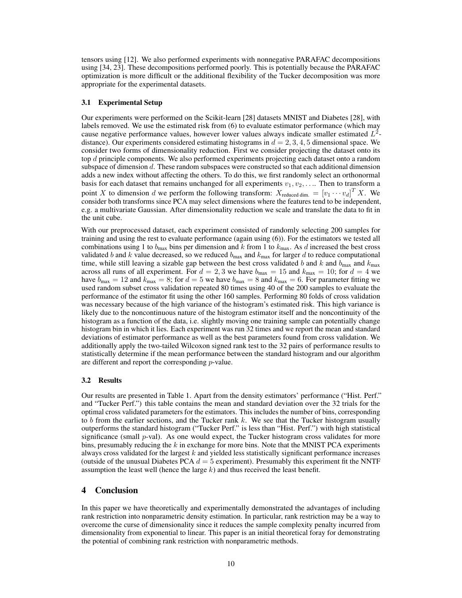tensors using [12]. We also performed experiments with nonnegative PARAFAC decompositions using [34, 23]. These decompositions performed poorly. This is potentially because the PARAFAC optimization is more difficult or the additional flexibility of the Tucker decomposition was more appropriate for the experimental datasets.

#### 3.1 Experimental Setup

Our experiments were performed on the Scikit-learn [28] datasets MNIST and Diabetes [28], with labels removed. We use the estimated risk from (6) to evaluate estimator performance (which may cause negative performance values, however lower values always indicate smaller estimated  $L^2$ distance). Our experiments considered estimating histograms in  $d = 2, 3, 4, 5$  dimensional space. We consider two forms of dimensionality reduction. First we consider projecting the dataset onto its top d principle components. We also performed experiments projecting each dataset onto a random subspace of dimension d. These random subspaces were constructed so that each additional dimension adds a new index without affecting the others. To do this, we first randomly select an orthonormal basis for each dataset that remains unchanged for all experiments  $v_1, v_2, \ldots$ . Then to transform a point X to dimension d we perform the following transform:  $X_{reduced dim.} = [v_1 \cdots v_d]^T X$ . We consider both transforms since PCA may select dimensions where the features tend to be independent, e.g. a multivariate Gaussian. After dimensionality reduction we scale and translate the data to fit in the unit cube.

With our preprocessed dataset, each experiment consisted of randomly selecting 200 samples for training and using the rest to evaluate performance (again using (6)). For the estimators we tested all combinations using 1 to  $b_{\text{max}}$  bins per dimension and k from 1 to  $k_{\text{max}}$ . As d increased the best cross validated b and k value decreased, so we reduced  $b_{\text{max}}$  and  $k_{\text{max}}$  for larger d to reduce computational time, while still leaving a sizable gap between the best cross validated b and k and  $k_{\text{max}}$  and  $k_{\text{max}}$ across all runs of all experiment. For  $d = 2, 3$  we have  $b_{\text{max}} = 15$  and  $k_{\text{max}} = 10$ ; for  $d = 4$  we have  $b_{\text{max}} = 12$  and  $k_{\text{max}} = 8$ ; for  $d = 5$  we have  $b_{\text{max}} = 8$  and  $k_{\text{max}} = 6$ . For parameter fitting we used random subset cross validation repeated 80 times using 40 of the 200 samples to evaluate the performance of the estimator fit using the other 160 samples. Performing 80 folds of cross validation was necessary because of the high variance of the histogram's estimated risk. This high variance is likely due to the noncontinuous nature of the histogram estimator itself and the noncontinuity of the histogram as a function of the data, i.e. slightly moving one training sample can potentially change histogram bin in which it lies. Each experiment was run 32 times and we report the mean and standard deviations of estimator performance as well as the best parameters found from cross validation. We additionally apply the two-tailed Wilcoxon signed rank test to the 32 pairs of performance results to statistically determine if the mean performance between the standard histogram and our algorithm are different and report the corresponding p-value.

#### 3.2 Results

Our results are presented in Table 1. Apart from the density estimators' performance ("Hist. Perf." and "Tucker Perf.") this table contains the mean and standard deviation over the 32 trials for the optimal cross validated parameters for the estimators. This includes the number of bins, corresponding to b from the earlier sections, and the Tucker rank  $k$ . We see that the Tucker histogram usually outperforms the standard histogram ("Tucker Perf." is less than "Hist. Perf.") with high statistical significance (small  $p$ -val). As one would expect, the Tucker histogram cross validates for more bins, presumably reducing the  $k$  in exchange for more bins. Note that the MNIST PCA experiments always cross validated for the largest  $k$  and yielded less statistically significant performance increases (outside of the unusual Diabetes PCA  $d = 5$  experiment). Presumably this experiment fit the NNTF assumption the least well (hence the large  $k$ ) and thus received the least benefit.

### 4 Conclusion

In this paper we have theoretically and experimentally demonstrated the advantages of including rank restriction into nonparametric density estimation. In particular, rank restriction may be a way to overcome the curse of dimensionality since it reduces the sample complexity penalty incurred from dimensionality from exponential to linear. This paper is an initial theoretical foray for demonstrating the potential of combining rank restriction with nonparametric methods.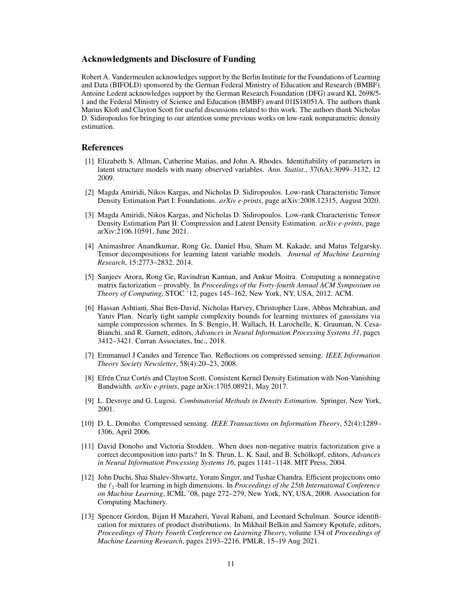# Acknowledgments and Disclosure of Funding

Robert A. Vandermeulen acknowledges support by the Berlin Institute for the Foundations of Learning and Data (BIFOLD) sponsored by the German Federal Ministry of Education and Research (BMBF). Antoine Ledent acknowledges support by the German Research Foundation (DFG) award KL 2698/5- 1 and the Federal Ministry of Science and Education (BMBF) award 01IS18051A. The authors thank Marius Kloft and Clayton Scott for useful discussions related to this work. The authors thank Nicholas D. Sidiropoulos for bringing to our attention some previous works on low-rank nonparametric density estimation.

# References

- [1] Elizabeth S. Allman, Catherine Matias, and John A. Rhodes. Identifiability of parameters in latent structure models with many observed variables. *Ann. Statist.*, 37(6A):3099–3132, 12 2009.
- [2] Magda Amiridi, Nikos Kargas, and Nicholas D. Sidiropoulos. Low-rank Characteristic Tensor Density Estimation Part I: Foundations. *arXiv e-prints*, page arXiv:2008.12315, August 2020.
- [3] Magda Amiridi, Nikos Kargas, and Nicholas D. Sidiropoulos. Low-rank Characteristic Tensor Density Estimation Part II: Compression and Latent Density Estimation. *arXiv e-prints*, page arXiv:2106.10591, June 2021.
- [4] Animashree Anandkumar, Rong Ge, Daniel Hsu, Sham M. Kakade, and Matus Telgarsky. Tensor decompositions for learning latent variable models. *Journal of Machine Learning Research*, 15:2773–2832, 2014.
- [5] Sanjeev Arora, Rong Ge, Ravindran Kannan, and Ankur Moitra. Computing a nonnegative matrix factorization – provably. In *Proceedings of the Forty-fourth Annual ACM Symposium on Theory of Computing*, STOC '12, pages 145–162, New York, NY, USA, 2012. ACM.
- [6] Hassan Ashtiani, Shai Ben-David, Nicholas Harvey, Christopher Liaw, Abbas Mehrabian, and Yaniv Plan. Nearly tight sample complexity bounds for learning mixtures of gaussians via sample compression schemes. In S. Bengio, H. Wallach, H. Larochelle, K. Grauman, N. Cesa-Bianchi, and R. Garnett, editors, *Advances in Neural Information Processing Systems 31*, pages 3412–3421. Curran Associates, Inc., 2018.
- [7] Emmanuel J Candes and Terence Tao. Reflections on compressed sensing. *IEEE Information Theory Society Newsletter*, 58(4):20–23, 2008.
- [8] Efrén Cruz Cortés and Clayton Scott. Consistent Kernel Density Estimation with Non-Vanishing Bandwidth. *arXiv e-prints*, page arXiv:1705.08921, May 2017.
- [9] L. Devroye and G. Lugosi. *Combinatorial Methods in Density Estimation*. Springer, New York, 2001.
- [10] D. L. Donoho. Compressed sensing. *IEEE Transactions on Information Theory*, 52(4):1289– 1306, April 2006.
- [11] David Donoho and Victoria Stodden. When does non-negative matrix factorization give a correct decomposition into parts? In S. Thrun, L. K. Saul, and B. Schölkopf, editors, *Advances in Neural Information Processing Systems 16*, pages 1141–1148. MIT Press, 2004.
- [12] John Duchi, Shai Shalev-Shwartz, Yoram Singer, and Tushar Chandra. Efficient projections onto the `1-ball for learning in high dimensions. In *Proceedings of the 25th International Conference on Machine Learning*, ICML '08, page 272–279, New York, NY, USA, 2008. Association for Computing Machinery.
- [13] Spencer Gordon, Bijan H Mazaheri, Yuval Rabani, and Leonard Schulman. Source identification for mixtures of product distributions. In Mikhail Belkin and Samory Kpotufe, editors, *Proceedings of Thirty Fourth Conference on Learning Theory*, volume 134 of *Proceedings of Machine Learning Research*, pages 2193–2216. PMLR, 15–19 Aug 2021.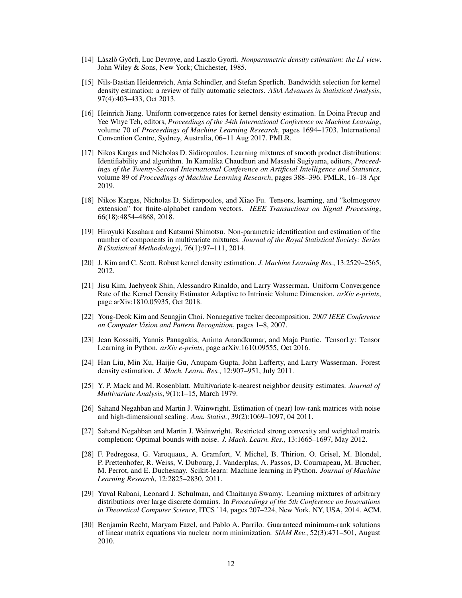- [14] Làszlò Györfi, Luc Devroye, and Laszlo Gyorfi. *Nonparametric density estimation: the L1 view*. John Wiley & Sons, New York; Chichester, 1985.
- [15] Nils-Bastian Heidenreich, Anja Schindler, and Stefan Sperlich. Bandwidth selection for kernel density estimation: a review of fully automatic selectors. *AStA Advances in Statistical Analysis*, 97(4):403–433, Oct 2013.
- [16] Heinrich Jiang. Uniform convergence rates for kernel density estimation. In Doina Precup and Yee Whye Teh, editors, *Proceedings of the 34th International Conference on Machine Learning*, volume 70 of *Proceedings of Machine Learning Research*, pages 1694–1703, International Convention Centre, Sydney, Australia, 06–11 Aug 2017. PMLR.
- [17] Nikos Kargas and Nicholas D. Sidiropoulos. Learning mixtures of smooth product distributions: Identifiability and algorithm. In Kamalika Chaudhuri and Masashi Sugiyama, editors, *Proceedings of the Twenty-Second International Conference on Artificial Intelligence and Statistics*, volume 89 of *Proceedings of Machine Learning Research*, pages 388–396. PMLR, 16–18 Apr 2019.
- [18] Nikos Kargas, Nicholas D. Sidiropoulos, and Xiao Fu. Tensors, learning, and "kolmogorov extension" for finite-alphabet random vectors. *IEEE Transactions on Signal Processing*, 66(18):4854–4868, 2018.
- [19] Hiroyuki Kasahara and Katsumi Shimotsu. Non-parametric identification and estimation of the number of components in multivariate mixtures. *Journal of the Royal Statistical Society: Series B (Statistical Methodology)*, 76(1):97–111, 2014.
- [20] J. Kim and C. Scott. Robust kernel density estimation. *J. Machine Learning Res.*, 13:2529–2565, 2012.
- [21] Jisu Kim, Jaehyeok Shin, Alessandro Rinaldo, and Larry Wasserman. Uniform Convergence Rate of the Kernel Density Estimator Adaptive to Intrinsic Volume Dimension. *arXiv e-prints*, page arXiv:1810.05935, Oct 2018.
- [22] Yong-Deok Kim and Seungjin Choi. Nonnegative tucker decomposition. *2007 IEEE Conference on Computer Vision and Pattern Recognition*, pages 1–8, 2007.
- [23] Jean Kossaifi, Yannis Panagakis, Anima Anandkumar, and Maja Pantic. TensorLy: Tensor Learning in Python. *arXiv e-prints*, page arXiv:1610.09555, Oct 2016.
- [24] Han Liu, Min Xu, Haijie Gu, Anupam Gupta, John Lafferty, and Larry Wasserman. Forest density estimation. *J. Mach. Learn. Res.*, 12:907–951, July 2011.
- [25] Y. P. Mack and M. Rosenblatt. Multivariate k-nearest neighbor density estimates. *Journal of Multivariate Analysis*, 9(1):1–15, March 1979.
- [26] Sahand Negahban and Martin J. Wainwright. Estimation of (near) low-rank matrices with noise and high-dimensional scaling. *Ann. Statist.*, 39(2):1069–1097, 04 2011.
- [27] Sahand Negahban and Martin J. Wainwright. Restricted strong convexity and weighted matrix completion: Optimal bounds with noise. *J. Mach. Learn. Res.*, 13:1665–1697, May 2012.
- [28] F. Pedregosa, G. Varoquaux, A. Gramfort, V. Michel, B. Thirion, O. Grisel, M. Blondel, P. Prettenhofer, R. Weiss, V. Dubourg, J. Vanderplas, A. Passos, D. Cournapeau, M. Brucher, M. Perrot, and E. Duchesnay. Scikit-learn: Machine learning in Python. *Journal of Machine Learning Research*, 12:2825–2830, 2011.
- [29] Yuval Rabani, Leonard J. Schulman, and Chaitanya Swamy. Learning mixtures of arbitrary distributions over large discrete domains. In *Proceedings of the 5th Conference on Innovations in Theoretical Computer Science*, ITCS '14, pages 207–224, New York, NY, USA, 2014. ACM.
- [30] Benjamin Recht, Maryam Fazel, and Pablo A. Parrilo. Guaranteed minimum-rank solutions of linear matrix equations via nuclear norm minimization. *SIAM Rev.*, 52(3):471–501, August 2010.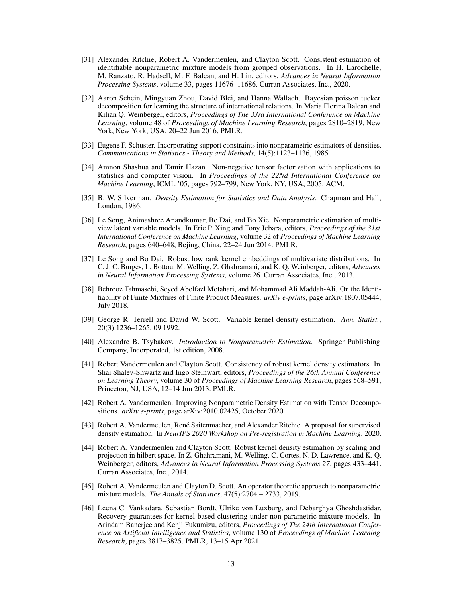- [31] Alexander Ritchie, Robert A. Vandermeulen, and Clayton Scott. Consistent estimation of identifiable nonparametric mixture models from grouped observations. In H. Larochelle, M. Ranzato, R. Hadsell, M. F. Balcan, and H. Lin, editors, *Advances in Neural Information Processing Systems*, volume 33, pages 11676–11686. Curran Associates, Inc., 2020.
- [32] Aaron Schein, Mingyuan Zhou, David Blei, and Hanna Wallach. Bayesian poisson tucker decomposition for learning the structure of international relations. In Maria Florina Balcan and Kilian Q. Weinberger, editors, *Proceedings of The 33rd International Conference on Machine Learning*, volume 48 of *Proceedings of Machine Learning Research*, pages 2810–2819, New York, New York, USA, 20–22 Jun 2016. PMLR.
- [33] Eugene F. Schuster. Incorporating support constraints into nonparametric estimators of densities. *Communications in Statistics - Theory and Methods*, 14(5):1123–1136, 1985.
- [34] Amnon Shashua and Tamir Hazan. Non-negative tensor factorization with applications to statistics and computer vision. In *Proceedings of the 22Nd International Conference on Machine Learning*, ICML '05, pages 792–799, New York, NY, USA, 2005. ACM.
- [35] B. W. Silverman. *Density Estimation for Statistics and Data Analysis*. Chapman and Hall, London, 1986.
- [36] Le Song, Animashree Anandkumar, Bo Dai, and Bo Xie. Nonparametric estimation of multiview latent variable models. In Eric P. Xing and Tony Jebara, editors, *Proceedings of the 31st International Conference on Machine Learning*, volume 32 of *Proceedings of Machine Learning Research*, pages 640–648, Bejing, China, 22–24 Jun 2014. PMLR.
- [37] Le Song and Bo Dai. Robust low rank kernel embeddings of multivariate distributions. In C. J. C. Burges, L. Bottou, M. Welling, Z. Ghahramani, and K. Q. Weinberger, editors, *Advances in Neural Information Processing Systems*, volume 26. Curran Associates, Inc., 2013.
- [38] Behrooz Tahmasebi, Seyed Abolfazl Motahari, and Mohammad Ali Maddah-Ali. On the Identifiability of Finite Mixtures of Finite Product Measures. *arXiv e-prints*, page arXiv:1807.05444, July 2018.
- [39] George R. Terrell and David W. Scott. Variable kernel density estimation. *Ann. Statist.*, 20(3):1236–1265, 09 1992.
- [40] Alexandre B. Tsybakov. *Introduction to Nonparametric Estimation*. Springer Publishing Company, Incorporated, 1st edition, 2008.
- [41] Robert Vandermeulen and Clayton Scott. Consistency of robust kernel density estimators. In Shai Shalev-Shwartz and Ingo Steinwart, editors, *Proceedings of the 26th Annual Conference on Learning Theory*, volume 30 of *Proceedings of Machine Learning Research*, pages 568–591, Princeton, NJ, USA, 12–14 Jun 2013. PMLR.
- [42] Robert A. Vandermeulen. Improving Nonparametric Density Estimation with Tensor Decompositions. *arXiv e-prints*, page arXiv:2010.02425, October 2020.
- [43] Robert A. Vandermeulen, René Saitenmacher, and Alexander Ritchie. A proposal for supervised density estimation. In *NeurIPS 2020 Workshop on Pre-registration in Machine Learning*, 2020.
- [44] Robert A. Vandermeulen and Clayton Scott. Robust kernel density estimation by scaling and projection in hilbert space. In Z. Ghahramani, M. Welling, C. Cortes, N. D. Lawrence, and K. Q. Weinberger, editors, *Advances in Neural Information Processing Systems 27*, pages 433–441. Curran Associates, Inc., 2014.
- [45] Robert A. Vandermeulen and Clayton D. Scott. An operator theoretic approach to nonparametric mixture models. *The Annals of Statistics*, 47(5):2704 – 2733, 2019.
- [46] Leena C. Vankadara, Sebastian Bordt, Ulrike von Luxburg, and Debarghya Ghoshdastidar. Recovery guarantees for kernel-based clustering under non-parametric mixture models. In Arindam Banerjee and Kenji Fukumizu, editors, *Proceedings of The 24th International Conference on Artificial Intelligence and Statistics*, volume 130 of *Proceedings of Machine Learning Research*, pages 3817–3825. PMLR, 13–15 Apr 2021.